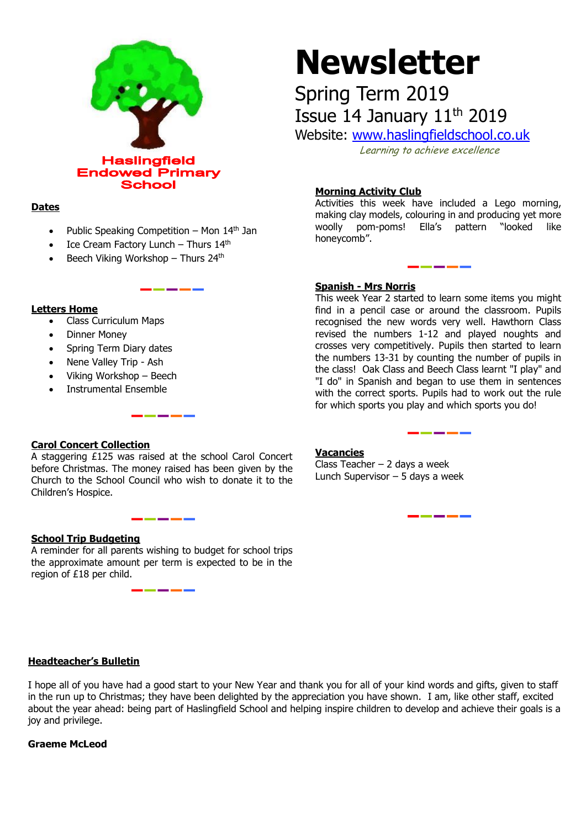

## **Dates**

Public Speaking Competition – Mon  $14<sup>th</sup>$  Jan

\_ \_ \_ \_ \_ \_ \_

- $\bullet$  Ice Cream Factory Lunch Thurs 14<sup>th</sup>
- Beech Viking Workshop Thurs 24<sup>th</sup>

## **Letters Home**

- Class Curriculum Maps
- Dinner Money
- Spring Term Diary dates
- Nene Valley Trip Ash
- Viking Workshop Beech
- Instrumental Ensemble

# **Newsletter**

Spring Term 2019 Issue 14 January 11<sup>th</sup> 2019

Website: [www.haslingfieldschool.co.uk](http://www.haslingfieldschool.co.uk/)

Learning to achieve excellence

# **Morning Activity Club**

Activities this week have included a Lego morning, making clay models, colouring in and producing yet more woolly pom-poms! Ella's pattern "looked like honeycomb".

## **Spanish - Mrs Norris**

This week Year 2 started to learn some items you might find in a pencil case or around the classroom. Pupils recognised the new words very well. Hawthorn Class revised the numbers 1-12 and played noughts and crosses very competitively. Pupils then started to learn the numbers 13-31 by counting the number of pupils in the class! Oak Class and Beech Class learnt "I play" and "I do" in Spanish and began to use them in sentences with the correct sports. Pupils had to work out the rule for which sports you play and which sports you do!

\_ \_ \_ \_ \_ \_

\_\_\_\_\_\_

## **Carol Concert Collection**

A staggering  $E125$  was raised at the school Carol Concert before Christmas. The money raised has been given by the Church to the School Council who wish to donate it to the Children's Hospice.

## **School Trip Budgeting**

A reminder for all parents wishing to budget for school trips the approximate amount per term is expected to be in the region of £18 per child.

## **Vacancies**

Class Teacher – 2 days a week Lunch Supervisor – 5 days a week

## **Headteacher's Bulletin**

I hope all of you have had a good start to your New Year and thank you for all of your kind words and gifts, given to staff in the run up to Christmas; they have been delighted by the appreciation you have shown. I am, like other staff, excited about the year ahead: being part of Haslingfield School and helping inspire children to develop and achieve their goals is a joy and privilege.

## **Graeme McLeod**